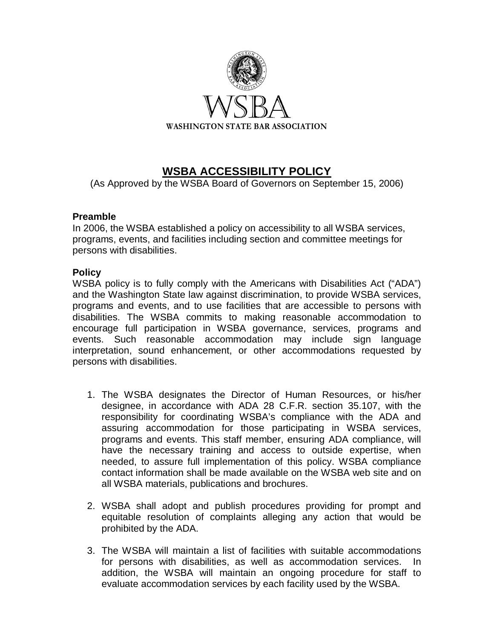

## **WSBA ACCESSIBILITY POLICY**

(As Approved by the WSBA Board of Governors on September 15, 2006)

## **Preamble**

In 2006, the WSBA established a policy on accessibility to all WSBA services, programs, events, and facilities including section and committee meetings for persons with disabilities.

## **Policy**

WSBA policy is to fully comply with the Americans with Disabilities Act ("ADA") and the Washington State law against discrimination, to provide WSBA services, programs and events, and to use facilities that are accessible to persons with disabilities. The WSBA commits to making reasonable accommodation to encourage full participation in WSBA governance, services, programs and events. Such reasonable accommodation may include sign language interpretation, sound enhancement, or other accommodations requested by persons with disabilities.

- 1. The WSBA designates the Director of Human Resources, or his/her designee, in accordance with ADA 28 C.F.R. section 35.107, with the responsibility for coordinating WSBA's compliance with the ADA and assuring accommodation for those participating in WSBA services, programs and events. This staff member, ensuring ADA compliance, will have the necessary training and access to outside expertise, when needed, to assure full implementation of this policy. WSBA compliance contact information shall be made available on the WSBA web site and on all WSBA materials, publications and brochures.
- 2. WSBA shall adopt and publish procedures providing for prompt and equitable resolution of complaints alleging any action that would be prohibited by the ADA.
- 3. The WSBA will maintain a list of facilities with suitable accommodations for persons with disabilities, as well as accommodation services. In addition, the WSBA will maintain an ongoing procedure for staff to evaluate accommodation services by each facility used by the WSBA.